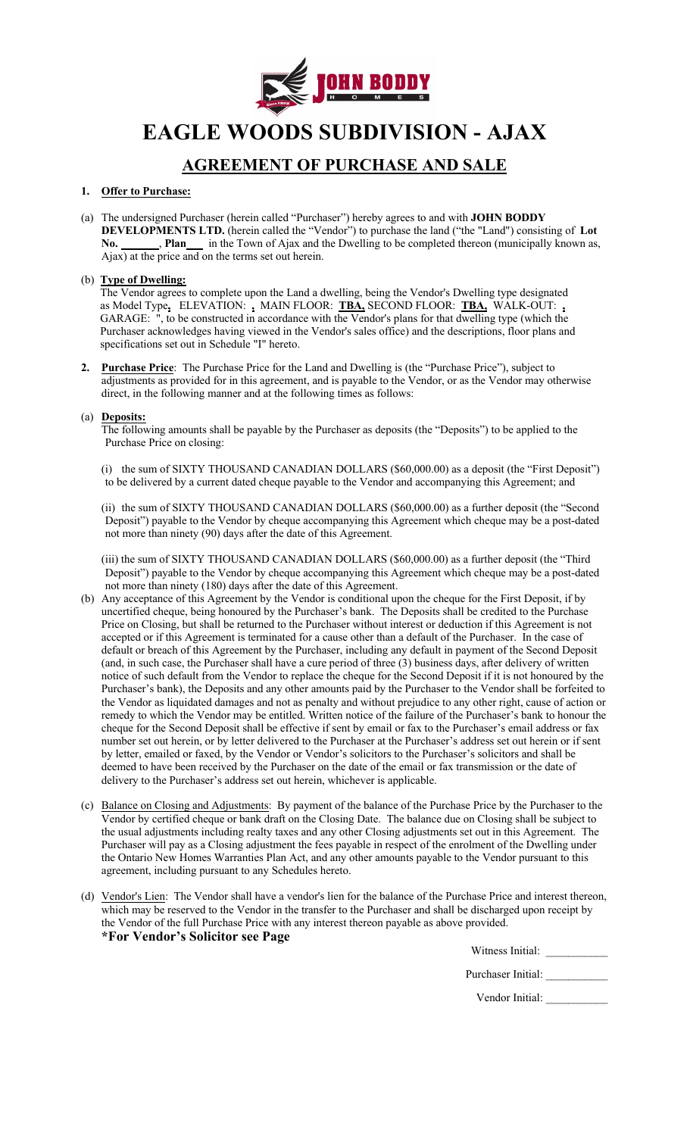

**EAGLE WOODS SUBDIVISION - AJAX**

# **AGREEMENT OF PURCHASE AND SALE**

## **1. Offer to Purchase:**

(a) The undersigned Purchaser (herein called "Purchaser") hereby agrees to and with **JOHN BODDY DEVELOPMENTS LTD.** (herein called the "Vendor") to purchase the land ("the "Land") consisting of **Lot**  No. No. **Plan** in the Town of Ajax and the Dwelling to be completed thereon (municipally known as, Ajax) at the price and on the terms set out herein.

### (b) **Type of Dwelling:**

The Vendor agrees to complete upon the Land a dwelling, being the Vendor's Dwelling type designated as Model Type**,** ELEVATION: **,** MAIN FLOOR: **TBA,** SECOND FLOOR: **TBA,** WALK-OUT: **,** GARAGE: ", to be constructed in accordance with the Vendor's plans for that dwelling type (which the Purchaser acknowledges having viewed in the Vendor's sales office) and the descriptions, floor plans and specifications set out in Schedule "I" hereto.

**2. Purchase Price**: The Purchase Price for the Land and Dwelling is (the "Purchase Price"), subject to adjustments as provided for in this agreement, and is payable to the Vendor, or as the Vendor may otherwise direct, in the following manner and at the following times as follows:

### (a) **Deposits:**

The following amounts shall be payable by the Purchaser as deposits (the "Deposits") to be applied to the Purchase Price on closing:

(i) the sum of SIXTY THOUSAND CANADIAN DOLLARS (\$60,000.00) as a deposit (the "First Deposit") to be delivered by a current dated cheque payable to the Vendor and accompanying this Agreement; and

(ii) the sum of SIXTY THOUSAND CANADIAN DOLLARS (\$60,000.00) as a further deposit (the "Second Deposit") payable to the Vendor by cheque accompanying this Agreement which cheque may be a post-dated not more than ninety (90) days after the date of this Agreement.

(iii) the sum of SIXTY THOUSAND CANADIAN DOLLARS (\$60,000.00) as a further deposit (the "Third Deposit") payable to the Vendor by cheque accompanying this Agreement which cheque may be a post-dated not more than ninety (180) days after the date of this Agreement.

- (b) Any acceptance of this Agreement by the Vendor is conditional upon the cheque for the First Deposit, if by uncertified cheque, being honoured by the Purchaser's bank. The Deposits shall be credited to the Purchase Price on Closing, but shall be returned to the Purchaser without interest or deduction if this Agreement is not accepted or if this Agreement is terminated for a cause other than a default of the Purchaser. In the case of default or breach of this Agreement by the Purchaser, including any default in payment of the Second Deposit (and, in such case, the Purchaser shall have a cure period of three (3) business days, after delivery of written notice of such default from the Vendor to replace the cheque for the Second Deposit if it is not honoured by the Purchaser's bank), the Deposits and any other amounts paid by the Purchaser to the Vendor shall be forfeited to the Vendor as liquidated damages and not as penalty and without prejudice to any other right, cause of action or remedy to which the Vendor may be entitled. Written notice of the failure of the Purchaser's bank to honour the cheque for the Second Deposit shall be effective if sent by email or fax to the Purchaser's email address or fax number set out herein, or by letter delivered to the Purchaser at the Purchaser's address set out herein or if sent by letter, emailed or faxed, by the Vendor or Vendor's solicitors to the Purchaser's solicitors and shall be deemed to have been received by the Purchaser on the date of the email or fax transmission or the date of delivery to the Purchaser's address set out herein, whichever is applicable.
- (c) Balance on Closing and Adjustments: By payment of the balance of the Purchase Price by the Purchaser to the Vendor by certified cheque or bank draft on the Closing Date. The balance due on Closing shall be subject to the usual adjustments including realty taxes and any other Closing adjustments set out in this Agreement. The Purchaser will pay as a Closing adjustment the fees payable in respect of the enrolment of the Dwelling under the Ontario New Homes Warranties Plan Act, and any other amounts payable to the Vendor pursuant to this agreement, including pursuant to any Schedules hereto.
- (d) Vendor's Lien: The Vendor shall have a vendor's lien for the balance of the Purchase Price and interest thereon, which may be reserved to the Vendor in the transfer to the Purchaser and shall be discharged upon receipt by the Vendor of the full Purchase Price with any interest thereon payable as above provided. **\*For Vendor's Solicitor see Page**

| Witness Initial: |  |
|------------------|--|
|                  |  |

| Purchaser Initial: |  |
|--------------------|--|
|--------------------|--|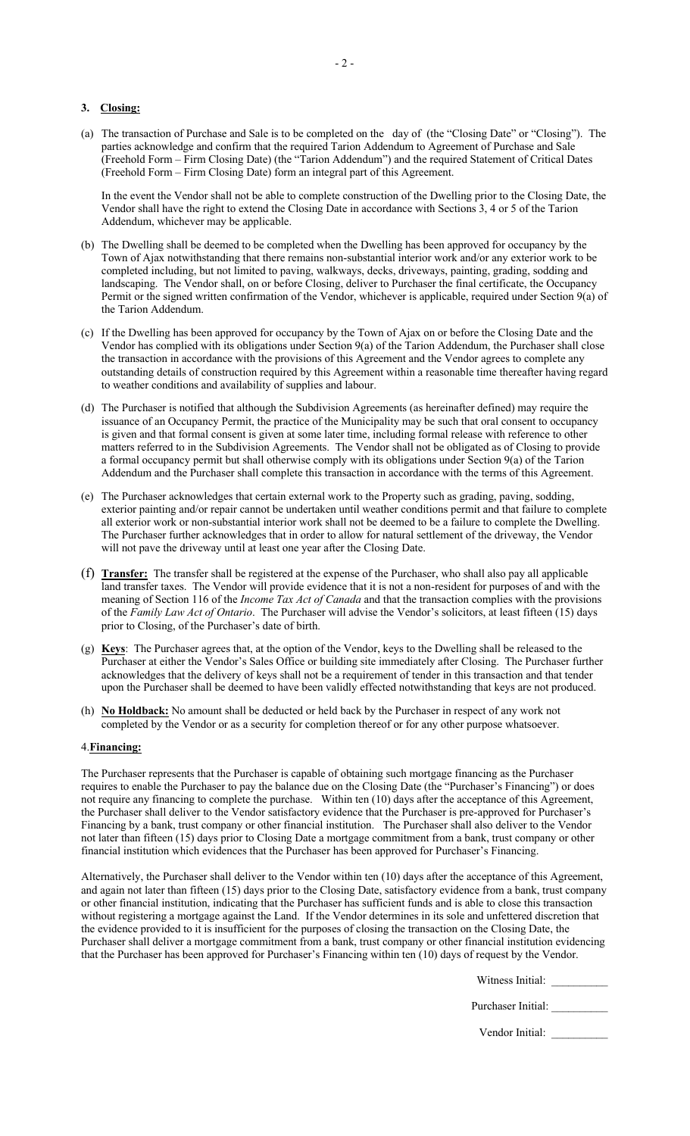#### **3. Closing:**

(a) The transaction of Purchase and Sale is to be completed on the day of (the "Closing Date" or "Closing"). The parties acknowledge and confirm that the required Tarion Addendum to Agreement of Purchase and Sale (Freehold Form – Firm Closing Date) (the "Tarion Addendum") and the required Statement of Critical Dates (Freehold Form – Firm Closing Date) form an integral part of this Agreement.

In the event the Vendor shall not be able to complete construction of the Dwelling prior to the Closing Date, the Vendor shall have the right to extend the Closing Date in accordance with Sections 3, 4 or 5 of the Tarion Addendum, whichever may be applicable.

- (b) The Dwelling shall be deemed to be completed when the Dwelling has been approved for occupancy by the Town of Ajax notwithstanding that there remains non-substantial interior work and/or any exterior work to be completed including, but not limited to paving, walkways, decks, driveways, painting, grading, sodding and landscaping. The Vendor shall, on or before Closing, deliver to Purchaser the final certificate, the Occupancy Permit or the signed written confirmation of the Vendor, whichever is applicable, required under Section 9(a) of the Tarion Addendum.
- (c) If the Dwelling has been approved for occupancy by the Town of Ajax on or before the Closing Date and the Vendor has complied with its obligations under Section 9(a) of the Tarion Addendum, the Purchaser shall close the transaction in accordance with the provisions of this Agreement and the Vendor agrees to complete any outstanding details of construction required by this Agreement within a reasonable time thereafter having regard to weather conditions and availability of supplies and labour.
- (d) The Purchaser is notified that although the Subdivision Agreements (as hereinafter defined) may require the issuance of an Occupancy Permit, the practice of the Municipality may be such that oral consent to occupancy is given and that formal consent is given at some later time, including formal release with reference to other matters referred to in the Subdivision Agreements. The Vendor shall not be obligated as of Closing to provide a formal occupancy permit but shall otherwise comply with its obligations under Section 9(a) of the Tarion Addendum and the Purchaser shall complete this transaction in accordance with the terms of this Agreement.
- (e) The Purchaser acknowledges that certain external work to the Property such as grading, paving, sodding, exterior painting and/or repair cannot be undertaken until weather conditions permit and that failure to complete all exterior work or non-substantial interior work shall not be deemed to be a failure to complete the Dwelling. The Purchaser further acknowledges that in order to allow for natural settlement of the driveway, the Vendor will not pave the driveway until at least one year after the Closing Date.
- (f) **Transfer:** The transfer shall be registered at the expense of the Purchaser, who shall also pay all applicable land transfer taxes. The Vendor will provide evidence that it is not a non-resident for purposes of and with the meaning of Section 116 of the *Income Tax Act of Canada* and that the transaction complies with the provisions of the *Family Law Act of Ontario*. The Purchaser will advise the Vendor's solicitors, at least fifteen (15) days prior to Closing, of the Purchaser's date of birth.
- (g) **Keys**: The Purchaser agrees that, at the option of the Vendor, keys to the Dwelling shall be released to the Purchaser at either the Vendor's Sales Office or building site immediately after Closing. The Purchaser further acknowledges that the delivery of keys shall not be a requirement of tender in this transaction and that tender upon the Purchaser shall be deemed to have been validly effected notwithstanding that keys are not produced.
- (h) **No Holdback:** No amount shall be deducted or held back by the Purchaser in respect of any work not completed by the Vendor or as a security for completion thereof or for any other purpose whatsoever.

#### 4.**Financing:**

The Purchaser represents that the Purchaser is capable of obtaining such mortgage financing as the Purchaser requires to enable the Purchaser to pay the balance due on the Closing Date (the "Purchaser's Financing") or does not require any financing to complete the purchase. Within ten (10) days after the acceptance of this Agreement, the Purchaser shall deliver to the Vendor satisfactory evidence that the Purchaser is pre-approved for Purchaser's Financing by a bank, trust company or other financial institution. The Purchaser shall also deliver to the Vendor not later than fifteen (15) days prior to Closing Date a mortgage commitment from a bank, trust company or other financial institution which evidences that the Purchaser has been approved for Purchaser's Financing.

Alternatively, the Purchaser shall deliver to the Vendor within ten (10) days after the acceptance of this Agreement, and again not later than fifteen (15) days prior to the Closing Date, satisfactory evidence from a bank, trust company or other financial institution, indicating that the Purchaser has sufficient funds and is able to close this transaction without registering a mortgage against the Land. If the Vendor determines in its sole and unfettered discretion that the evidence provided to it is insufficient for the purposes of closing the transaction on the Closing Date, the Purchaser shall deliver a mortgage commitment from a bank, trust company or other financial institution evidencing that the Purchaser has been approved for Purchaser's Financing within ten (10) days of request by the Vendor.

Witness Initial:

Purchaser Initial: \_\_\_\_\_\_\_\_\_\_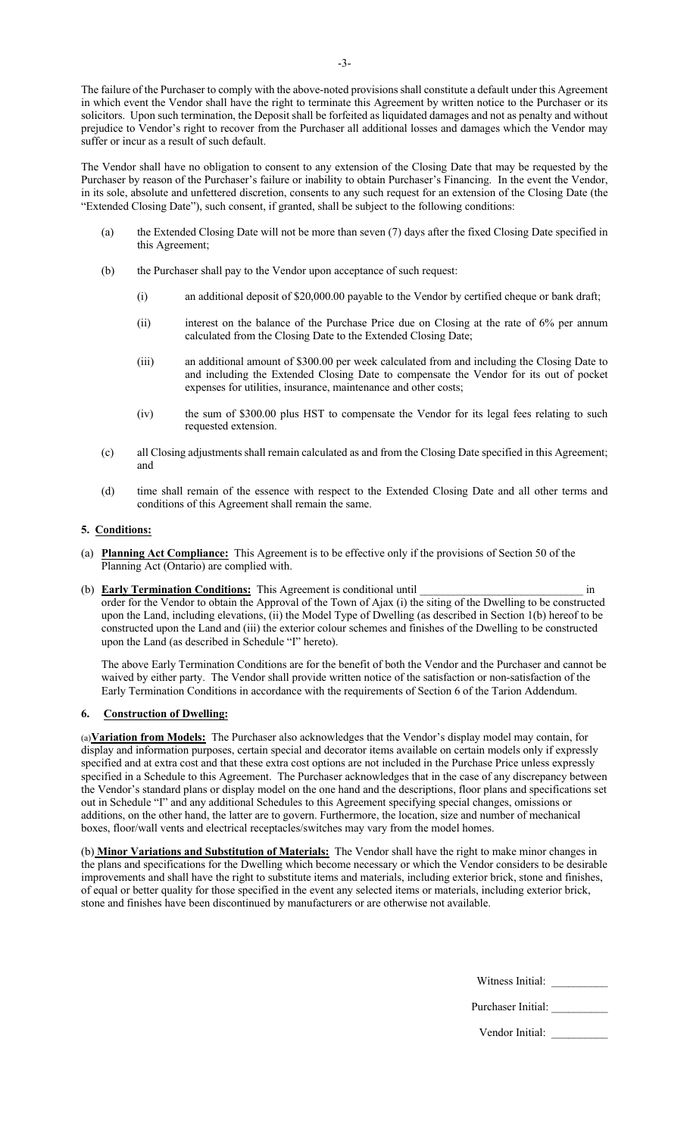The failure of the Purchaser to comply with the above-noted provisions shall constitute a default under this Agreement in which event the Vendor shall have the right to terminate this Agreement by written notice to the Purchaser or its solicitors. Upon such termination, the Deposit shall be forfeited as liquidated damages and not as penalty and without prejudice to Vendor's right to recover from the Purchaser all additional losses and damages which the Vendor may suffer or incur as a result of such default.

The Vendor shall have no obligation to consent to any extension of the Closing Date that may be requested by the Purchaser by reason of the Purchaser's failure or inability to obtain Purchaser's Financing. In the event the Vendor, in its sole, absolute and unfettered discretion, consents to any such request for an extension of the Closing Date (the "Extended Closing Date"), such consent, if granted, shall be subject to the following conditions:

- (a) the Extended Closing Date will not be more than seven (7) days after the fixed Closing Date specified in this Agreement;
- (b) the Purchaser shall pay to the Vendor upon acceptance of such request:
	- (i) an additional deposit of \$20,000.00 payable to the Vendor by certified cheque or bank draft;
	- (ii) interest on the balance of the Purchase Price due on Closing at the rate of 6% per annum calculated from the Closing Date to the Extended Closing Date;
	- (iii) an additional amount of \$300.00 per week calculated from and including the Closing Date to and including the Extended Closing Date to compensate the Vendor for its out of pocket expenses for utilities, insurance, maintenance and other costs;
	- (iv) the sum of \$300.00 plus HST to compensate the Vendor for its legal fees relating to such requested extension.
- (c) all Closing adjustments shall remain calculated as and from the Closing Date specified in this Agreement; and
- (d) time shall remain of the essence with respect to the Extended Closing Date and all other terms and conditions of this Agreement shall remain the same.

### **5. Conditions:**

- (a) **Planning Act Compliance:** This Agreement is to be effective only if the provisions of Section 50 of the Planning Act (Ontario) are complied with.
- (b) **Early Termination Conditions:** This Agreement is conditional until \_\_\_\_\_\_\_\_\_\_\_\_\_\_\_\_\_\_\_\_\_\_\_\_\_\_\_\_\_ in order for the Vendor to obtain the Approval of the Town of Ajax (i) the siting of the Dwelling to be constructed upon the Land, including elevations, (ii) the Model Type of Dwelling (as described in Section 1(b) hereof to be constructed upon the Land and (iii) the exterior colour schemes and finishes of the Dwelling to be constructed upon the Land (as described in Schedule "I" hereto).

The above Early Termination Conditions are for the benefit of both the Vendor and the Purchaser and cannot be waived by either party. The Vendor shall provide written notice of the satisfaction or non-satisfaction of the Early Termination Conditions in accordance with the requirements of Section 6 of the Tarion Addendum.

### **6. Construction of Dwelling:**

(a)**Variation from Models:** The Purchaser also acknowledges that the Vendor's display model may contain, for display and information purposes, certain special and decorator items available on certain models only if expressly specified and at extra cost and that these extra cost options are not included in the Purchase Price unless expressly specified in a Schedule to this Agreement. The Purchaser acknowledges that in the case of any discrepancy between the Vendor's standard plans or display model on the one hand and the descriptions, floor plans and specifications set out in Schedule "I" and any additional Schedules to this Agreement specifying special changes, omissions or additions, on the other hand, the latter are to govern. Furthermore, the location, size and number of mechanical boxes, floor/wall vents and electrical receptacles/switches may vary from the model homes.

(b) **Minor Variations and Substitution of Materials:** The Vendor shall have the right to make minor changes in the plans and specifications for the Dwelling which become necessary or which the Vendor considers to be desirable improvements and shall have the right to substitute items and materials, including exterior brick, stone and finishes, of equal or better quality for those specified in the event any selected items or materials, including exterior brick, stone and finishes have been discontinued by manufacturers or are otherwise not available.

Witness Initial: \_\_\_\_\_\_\_\_\_\_

| Purchaser Initial: |  |
|--------------------|--|
|                    |  |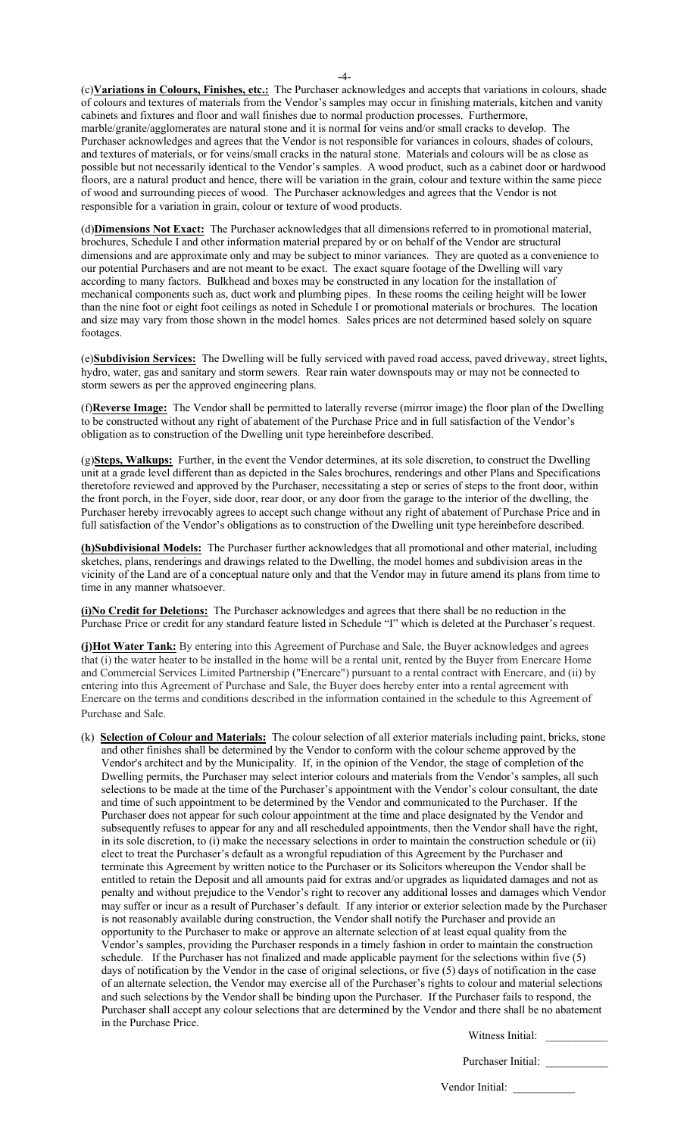(c)**Variations in Colours, Finishes, etc.:** The Purchaser acknowledges and accepts that variations in colours, shade of colours and textures of materials from the Vendor's samples may occur in finishing materials, kitchen and vanity cabinets and fixtures and floor and wall finishes due to normal production processes. Furthermore, marble/granite/agglomerates are natural stone and it is normal for veins and/or small cracks to develop. The Purchaser acknowledges and agrees that the Vendor is not responsible for variances in colours, shades of colours, and textures of materials, or for veins/small cracks in the natural stone. Materials and colours will be as close as possible but not necessarily identical to the Vendor's samples. A wood product, such as a cabinet door or hardwood floors, are a natural product and hence, there will be variation in the grain, colour and texture within the same piece of wood and surrounding pieces of wood. The Purchaser acknowledges and agrees that the Vendor is not responsible for a variation in grain, colour or texture of wood products.

(d)**Dimensions Not Exact:** The Purchaser acknowledges that all dimensions referred to in promotional material, brochures, Schedule I and other information material prepared by or on behalf of the Vendor are structural dimensions and are approximate only and may be subject to minor variances. They are quoted as a convenience to our potential Purchasers and are not meant to be exact. The exact square footage of the Dwelling will vary according to many factors. Bulkhead and boxes may be constructed in any location for the installation of mechanical components such as, duct work and plumbing pipes. In these rooms the ceiling height will be lower than the nine foot or eight foot ceilings as noted in Schedule I or promotional materials or brochures. The location and size may vary from those shown in the model homes. Sales prices are not determined based solely on square footages.

(e)**Subdivision Services:** The Dwelling will be fully serviced with paved road access, paved driveway, street lights, hydro, water, gas and sanitary and storm sewers. Rear rain water downspouts may or may not be connected to storm sewers as per the approved engineering plans.

(f)**Reverse Image:** The Vendor shall be permitted to laterally reverse (mirror image) the floor plan of the Dwelling to be constructed without any right of abatement of the Purchase Price and in full satisfaction of the Vendor's obligation as to construction of the Dwelling unit type hereinbefore described.

(g)**Steps, Walkups:** Further, in the event the Vendor determines, at its sole discretion, to construct the Dwelling unit at a grade level different than as depicted in the Sales brochures, renderings and other Plans and Specifications theretofore reviewed and approved by the Purchaser, necessitating a step or series of steps to the front door, within the front porch, in the Foyer, side door, rear door, or any door from the garage to the interior of the dwelling, the Purchaser hereby irrevocably agrees to accept such change without any right of abatement of Purchase Price and in full satisfaction of the Vendor's obligations as to construction of the Dwelling unit type hereinbefore described.

**(h)Subdivisional Models:** The Purchaser further acknowledges that all promotional and other material, including sketches, plans, renderings and drawings related to the Dwelling, the model homes and subdivision areas in the vicinity of the Land are of a conceptual nature only and that the Vendor may in future amend its plans from time to time in any manner whatsoever.

**(i)No Credit for Deletions:** The Purchaser acknowledges and agrees that there shall be no reduction in the Purchase Price or credit for any standard feature listed in Schedule "I" which is deleted at the Purchaser's request.

**(j)Hot Water Tank:** By entering into this Agreement of Purchase and Sale, the Buyer acknowledges and agrees that (i) the water heater to be installed in the home will be a rental unit, rented by the Buyer from Enercare Home and Commercial Services Limited Partnership ("Enercare") pursuant to a rental contract with Enercare, and (ii) by entering into this Agreement of Purchase and Sale, the Buyer does hereby enter into a rental agreement with Enercare on the terms and conditions described in the information contained in the schedule to this Agreement of Purchase and Sale.

(k) **Selection of Colour and Materials:** The colour selection of all exterior materials including paint, bricks, stone and other finishes shall be determined by the Vendor to conform with the colour scheme approved by the Vendor's architect and by the Municipality. If, in the opinion of the Vendor, the stage of completion of the Dwelling permits, the Purchaser may select interior colours and materials from the Vendor's samples, all such selections to be made at the time of the Purchaser's appointment with the Vendor's colour consultant, the date and time of such appointment to be determined by the Vendor and communicated to the Purchaser. If the Purchaser does not appear for such colour appointment at the time and place designated by the Vendor and subsequently refuses to appear for any and all rescheduled appointments, then the Vendor shall have the right, in its sole discretion, to (i) make the necessary selections in order to maintain the construction schedule or (ii) elect to treat the Purchaser's default as a wrongful repudiation of this Agreement by the Purchaser and terminate this Agreement by written notice to the Purchaser or its Solicitors whereupon the Vendor shall be entitled to retain the Deposit and all amounts paid for extras and/or upgrades as liquidated damages and not as penalty and without prejudice to the Vendor's right to recover any additional losses and damages which Vendor may suffer or incur as a result of Purchaser's default. If any interior or exterior selection made by the Purchaser is not reasonably available during construction, the Vendor shall notify the Purchaser and provide an opportunity to the Purchaser to make or approve an alternate selection of at least equal quality from the Vendor's samples, providing the Purchaser responds in a timely fashion in order to maintain the construction schedule. If the Purchaser has not finalized and made applicable payment for the selections within five (5) days of notification by the Vendor in the case of original selections, or five (5) days of notification in the case of an alternate selection, the Vendor may exercise all of the Purchaser's rights to colour and material selections and such selections by the Vendor shall be binding upon the Purchaser. If the Purchaser fails to respond, the Purchaser shall accept any colour selections that are determined by the Vendor and there shall be no abatement in the Purchase Price.

Witness Initial:

Purchaser Initial:

-4-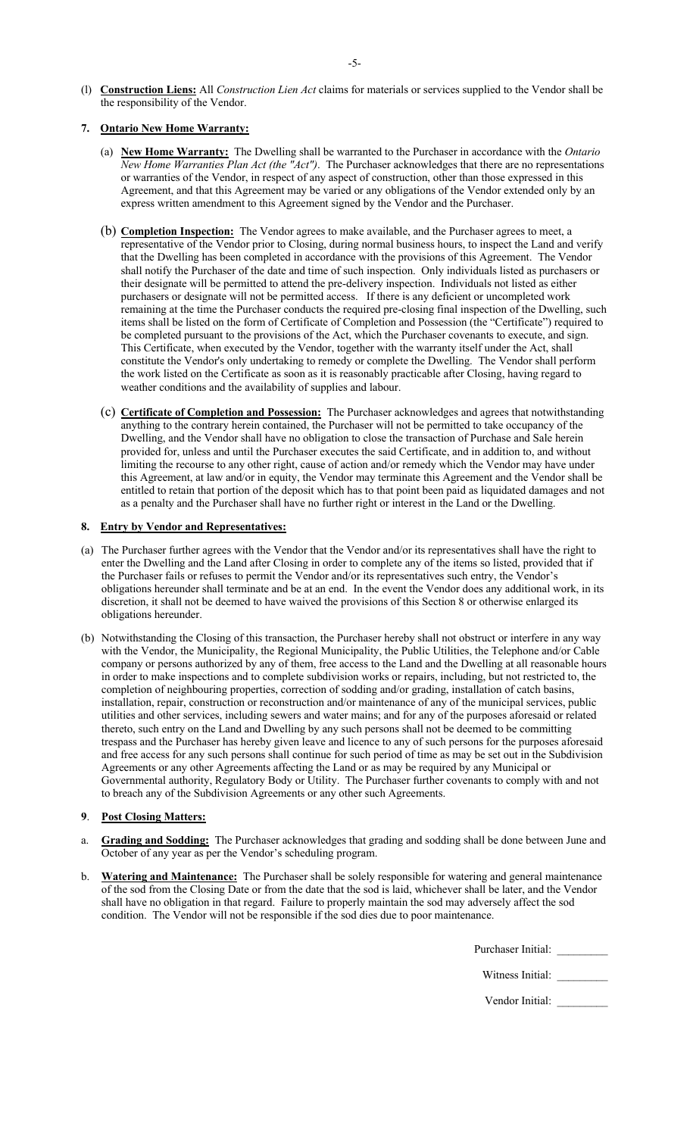(l) **Construction Liens:** All *Construction Lien Act* claims for materials or services supplied to the Vendor shall be the responsibility of the Vendor.

# **7. Ontario New Home Warranty:**

- (a) **New Home Warranty:** The Dwelling shall be warranted to the Purchaser in accordance with the *Ontario New Home Warranties Plan Act (the "Act")*. The Purchaser acknowledges that there are no representations or warranties of the Vendor, in respect of any aspect of construction, other than those expressed in this Agreement, and that this Agreement may be varied or any obligations of the Vendor extended only by an express written amendment to this Agreement signed by the Vendor and the Purchaser.
- (b) **Completion Inspection:** The Vendor agrees to make available, and the Purchaser agrees to meet, a representative of the Vendor prior to Closing, during normal business hours, to inspect the Land and verify that the Dwelling has been completed in accordance with the provisions of this Agreement. The Vendor shall notify the Purchaser of the date and time of such inspection. Only individuals listed as purchasers or their designate will be permitted to attend the pre-delivery inspection. Individuals not listed as either purchasers or designate will not be permitted access. If there is any deficient or uncompleted work remaining at the time the Purchaser conducts the required pre-closing final inspection of the Dwelling, such items shall be listed on the form of Certificate of Completion and Possession (the "Certificate") required to be completed pursuant to the provisions of the Act, which the Purchaser covenants to execute, and sign. This Certificate, when executed by the Vendor, together with the warranty itself under the Act, shall constitute the Vendor's only undertaking to remedy or complete the Dwelling. The Vendor shall perform the work listed on the Certificate as soon as it is reasonably practicable after Closing, having regard to weather conditions and the availability of supplies and labour.
- (c) **Certificate of Completion and Possession:** The Purchaser acknowledges and agrees that notwithstanding anything to the contrary herein contained, the Purchaser will not be permitted to take occupancy of the Dwelling, and the Vendor shall have no obligation to close the transaction of Purchase and Sale herein provided for, unless and until the Purchaser executes the said Certificate, and in addition to, and without limiting the recourse to any other right, cause of action and/or remedy which the Vendor may have under this Agreement, at law and/or in equity, the Vendor may terminate this Agreement and the Vendor shall be entitled to retain that portion of the deposit which has to that point been paid as liquidated damages and not as a penalty and the Purchaser shall have no further right or interest in the Land or the Dwelling.

# **8. Entry by Vendor and Representatives:**

- (a) The Purchaser further agrees with the Vendor that the Vendor and/or its representatives shall have the right to enter the Dwelling and the Land after Closing in order to complete any of the items so listed, provided that if the Purchaser fails or refuses to permit the Vendor and/or its representatives such entry, the Vendor's obligations hereunder shall terminate and be at an end. In the event the Vendor does any additional work, in its discretion, it shall not be deemed to have waived the provisions of this Section 8 or otherwise enlarged its obligations hereunder.
- (b) Notwithstanding the Closing of this transaction, the Purchaser hereby shall not obstruct or interfere in any way with the Vendor, the Municipality, the Regional Municipality, the Public Utilities, the Telephone and/or Cable company or persons authorized by any of them, free access to the Land and the Dwelling at all reasonable hours in order to make inspections and to complete subdivision works or repairs, including, but not restricted to, the completion of neighbouring properties, correction of sodding and/or grading, installation of catch basins, installation, repair, construction or reconstruction and/or maintenance of any of the municipal services, public utilities and other services, including sewers and water mains; and for any of the purposes aforesaid or related thereto, such entry on the Land and Dwelling by any such persons shall not be deemed to be committing trespass and the Purchaser has hereby given leave and licence to any of such persons for the purposes aforesaid and free access for any such persons shall continue for such period of time as may be set out in the Subdivision Agreements or any other Agreements affecting the Land or as may be required by any Municipal or Governmental authority, Regulatory Body or Utility. The Purchaser further covenants to comply with and not to breach any of the Subdivision Agreements or any other such Agreements.

# **9**. **Post Closing Matters:**

- Grading and Sodding: The Purchaser acknowledges that grading and sodding shall be done between June and October of any year as per the Vendor's scheduling program.
- b. **Watering and Maintenance:** The Purchaser shall be solely responsible for watering and general maintenance of the sod from the Closing Date or from the date that the sod is laid, whichever shall be later, and the Vendor shall have no obligation in that regard. Failure to properly maintain the sod may adversely affect the sod condition. The Vendor will not be responsible if the sod dies due to poor maintenance.

Purchaser Initial:

| Witness Initial: |  |  |
|------------------|--|--|
|------------------|--|--|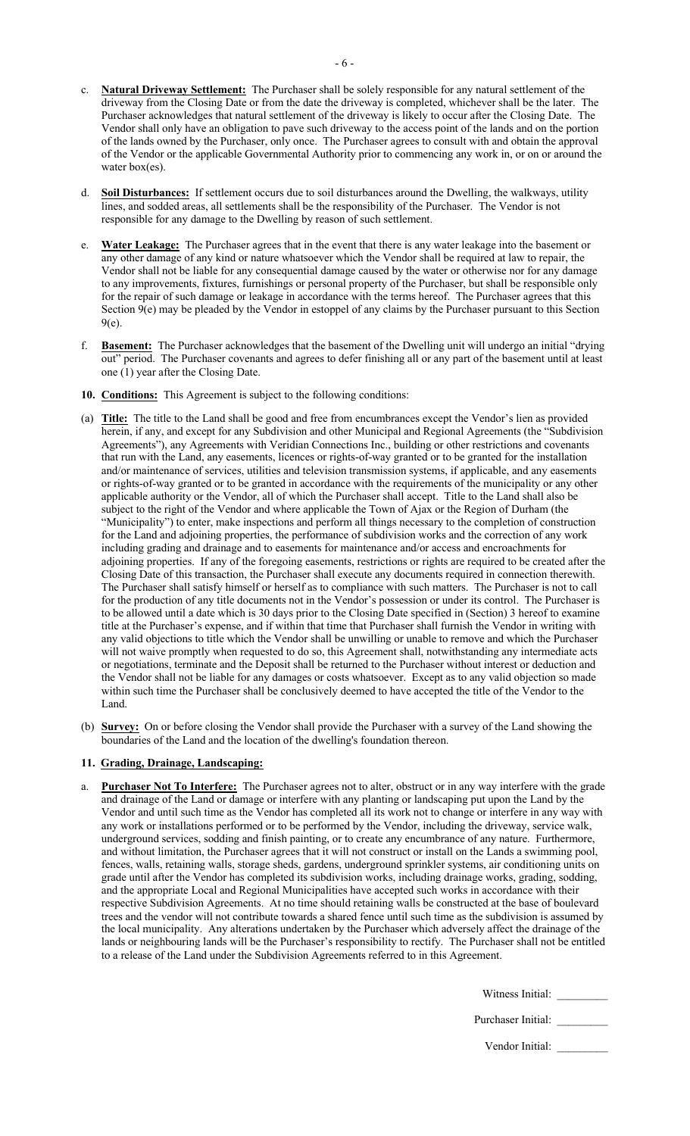- **Natural Driveway Settlement:** The Purchaser shall be solely responsible for any natural settlement of the driveway from the Closing Date or from the date the driveway is completed, whichever shall be the later. The Purchaser acknowledges that natural settlement of the driveway is likely to occur after the Closing Date. The Vendor shall only have an obligation to pave such driveway to the access point of the lands and on the portion of the lands owned by the Purchaser, only once. The Purchaser agrees to consult with and obtain the approval of the Vendor or the applicable Governmental Authority prior to commencing any work in, or on or around the water box(es).
- Soil Disturbances: If settlement occurs due to soil disturbances around the Dwelling, the walkways, utility lines, and sodded areas, all settlements shall be the responsibility of the Purchaser. The Vendor is not responsible for any damage to the Dwelling by reason of such settlement.
- Water Leakage: The Purchaser agrees that in the event that there is any water leakage into the basement or any other damage of any kind or nature whatsoever which the Vendor shall be required at law to repair, the Vendor shall not be liable for any consequential damage caused by the water or otherwise nor for any damage to any improvements, fixtures, furnishings or personal property of the Purchaser, but shall be responsible only for the repair of such damage or leakage in accordance with the terms hereof. The Purchaser agrees that this Section 9(e) may be pleaded by the Vendor in estoppel of any claims by the Purchaser pursuant to this Section 9(e).
- f. **Basement:** The Purchaser acknowledges that the basement of the Dwelling unit will undergo an initial "drying out" period. The Purchaser covenants and agrees to defer finishing all or any part of the basement until at least one (1) year after the Closing Date.
- **10. Conditions:** This Agreement is subject to the following conditions:
- (a) **Title:** The title to the Land shall be good and free from encumbrances except the Vendor's lien as provided herein, if any, and except for any Subdivision and other Municipal and Regional Agreements (the "Subdivision Agreements"), any Agreements with Veridian Connections Inc., building or other restrictions and covenants that run with the Land, any easements, licences or rights-of-way granted or to be granted for the installation and/or maintenance of services, utilities and television transmission systems, if applicable, and any easements or rights-of-way granted or to be granted in accordance with the requirements of the municipality or any other applicable authority or the Vendor, all of which the Purchaser shall accept. Title to the Land shall also be subject to the right of the Vendor and where applicable the Town of Ajax or the Region of Durham (the "Municipality") to enter, make inspections and perform all things necessary to the completion of construction for the Land and adjoining properties, the performance of subdivision works and the correction of any work including grading and drainage and to easements for maintenance and/or access and encroachments for adjoining properties. If any of the foregoing easements, restrictions or rights are required to be created after the Closing Date of this transaction, the Purchaser shall execute any documents required in connection therewith. The Purchaser shall satisfy himself or herself as to compliance with such matters. The Purchaser is not to call for the production of any title documents not in the Vendor's possession or under its control. The Purchaser is to be allowed until a date which is 30 days prior to the Closing Date specified in (Section) 3 hereof to examine title at the Purchaser's expense, and if within that time that Purchaser shall furnish the Vendor in writing with any valid objections to title which the Vendor shall be unwilling or unable to remove and which the Purchaser will not waive promptly when requested to do so, this Agreement shall, notwithstanding any intermediate acts or negotiations, terminate and the Deposit shall be returned to the Purchaser without interest or deduction and the Vendor shall not be liable for any damages or costs whatsoever. Except as to any valid objection so made within such time the Purchaser shall be conclusively deemed to have accepted the title of the Vendor to the Land.
- (b) **Survey:** On or before closing the Vendor shall provide the Purchaser with a survey of the Land showing the boundaries of the Land and the location of the dwelling's foundation thereon.

### **11. Grading, Drainage, Landscaping:**

Purchaser Not To Interfere: The Purchaser agrees not to alter, obstruct or in any way interfere with the grade and drainage of the Land or damage or interfere with any planting or landscaping put upon the Land by the Vendor and until such time as the Vendor has completed all its work not to change or interfere in any way with any work or installations performed or to be performed by the Vendor, including the driveway, service walk, underground services, sodding and finish painting, or to create any encumbrance of any nature. Furthermore, and without limitation, the Purchaser agrees that it will not construct or install on the Lands a swimming pool, fences, walls, retaining walls, storage sheds, gardens, underground sprinkler systems, air conditioning units on grade until after the Vendor has completed its subdivision works, including drainage works, grading, sodding, and the appropriate Local and Regional Municipalities have accepted such works in accordance with their respective Subdivision Agreements. At no time should retaining walls be constructed at the base of boulevard trees and the vendor will not contribute towards a shared fence until such time as the subdivision is assumed by the local municipality. Any alterations undertaken by the Purchaser which adversely affect the drainage of the lands or neighbouring lands will be the Purchaser's responsibility to rectify. The Purchaser shall not be entitled to a release of the Land under the Subdivision Agreements referred to in this Agreement.

| Witness Initial: |  |
|------------------|--|
|                  |  |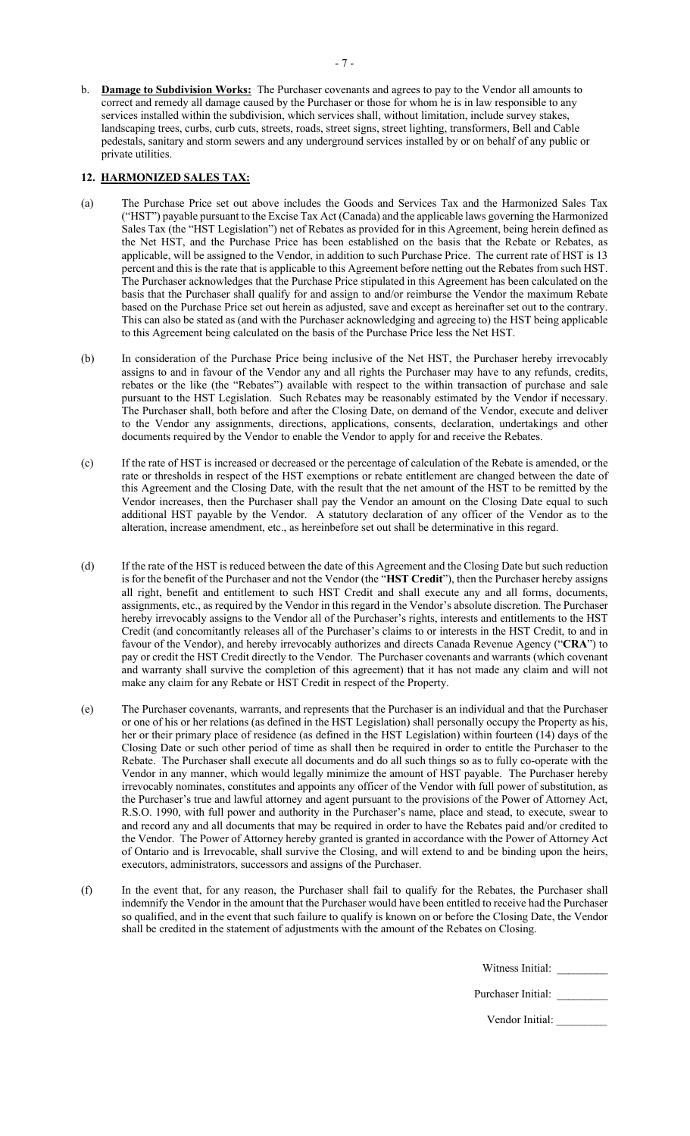b. **Damage to Subdivision Works:** The Purchaser covenants and agrees to pay to the Vendor all amounts to correct and remedy all damage caused by the Purchaser or those for whom he is in law responsible to any services installed within the subdivision, which services shall, without limitation, include survey stakes, landscaping trees, curbs, curb cuts, streets, roads, street signs, street lighting, transformers, Bell and Cable pedestals, sanitary and storm sewers and any underground services installed by or on behalf of any public or private utilities.

## **12. HARMONIZED SALES TAX:**

- (a) The Purchase Price set out above includes the Goods and Services Tax and the Harmonized Sales Tax ("HST") payable pursuant to the Excise Tax Act (Canada) and the applicable laws governing the Harmonized Sales Tax (the "HST Legislation") net of Rebates as provided for in this Agreement, being herein defined as the Net HST, and the Purchase Price has been established on the basis that the Rebate or Rebates, as applicable, will be assigned to the Vendor, in addition to such Purchase Price. The current rate of HST is 13 percent and this is the rate that is applicable to this Agreement before netting out the Rebates from such HST. The Purchaser acknowledges that the Purchase Price stipulated in this Agreement has been calculated on the basis that the Purchaser shall qualify for and assign to and/or reimburse the Vendor the maximum Rebate based on the Purchase Price set out herein as adjusted, save and except as hereinafter set out to the contrary. This can also be stated as (and with the Purchaser acknowledging and agreeing to) the HST being applicable to this Agreement being calculated on the basis of the Purchase Price less the Net HST.
- (b) In consideration of the Purchase Price being inclusive of the Net HST, the Purchaser hereby irrevocably assigns to and in favour of the Vendor any and all rights the Purchaser may have to any refunds, credits, rebates or the like (the "Rebates") available with respect to the within transaction of purchase and sale pursuant to the HST Legislation. Such Rebates may be reasonably estimated by the Vendor if necessary. The Purchaser shall, both before and after the Closing Date, on demand of the Vendor, execute and deliver to the Vendor any assignments, directions, applications, consents, declaration, undertakings and other documents required by the Vendor to enable the Vendor to apply for and receive the Rebates.
- (c) If the rate of HST is increased or decreased or the percentage of calculation of the Rebate is amended, or the rate or thresholds in respect of the HST exemptions or rebate entitlement are changed between the date of this Agreement and the Closing Date, with the result that the net amount of the HST to be remitted by the Vendor increases, then the Purchaser shall pay the Vendor an amount on the Closing Date equal to such additional HST payable by the Vendor. A statutory declaration of any officer of the Vendor as to the alteration, increase amendment, etc., as hereinbefore set out shall be determinative in this regard.
- (d) If the rate of the HST is reduced between the date of this Agreement and the Closing Date but such reduction is for the benefit of the Purchaser and not the Vendor (the "**HST Credit**"), then the Purchaser hereby assigns all right, benefit and entitlement to such HST Credit and shall execute any and all forms, documents, assignments, etc., as required by the Vendor in this regard in the Vendor's absolute discretion. The Purchaser hereby irrevocably assigns to the Vendor all of the Purchaser's rights, interests and entitlements to the HST Credit (and concomitantly releases all of the Purchaser's claims to or interests in the HST Credit, to and in favour of the Vendor), and hereby irrevocably authorizes and directs Canada Revenue Agency ("**CRA**") to pay or credit the HST Credit directly to the Vendor. The Purchaser covenants and warrants (which covenant and warranty shall survive the completion of this agreement) that it has not made any claim and will not make any claim for any Rebate or HST Credit in respect of the Property.
- (e) The Purchaser covenants, warrants, and represents that the Purchaser is an individual and that the Purchaser or one of his or her relations (as defined in the HST Legislation) shall personally occupy the Property as his, her or their primary place of residence (as defined in the HST Legislation) within fourteen (14) days of the Closing Date or such other period of time as shall then be required in order to entitle the Purchaser to the Rebate. The Purchaser shall execute all documents and do all such things so as to fully co-operate with the Vendor in any manner, which would legally minimize the amount of HST payable. The Purchaser hereby irrevocably nominates, constitutes and appoints any officer of the Vendor with full power of substitution, as the Purchaser's true and lawful attorney and agent pursuant to the provisions of the Power of Attorney Act, R.S.O. 1990, with full power and authority in the Purchaser's name, place and stead, to execute, swear to and record any and all documents that may be required in order to have the Rebates paid and/or credited to the Vendor. The Power of Attorney hereby granted is granted in accordance with the Power of Attorney Act of Ontario and is Irrevocable, shall survive the Closing, and will extend to and be binding upon the heirs, executors, administrators, successors and assigns of the Purchaser.
- (f) In the event that, for any reason, the Purchaser shall fail to qualify for the Rebates, the Purchaser shall indemnify the Vendor in the amount that the Purchaser would have been entitled to receive had the Purchaser so qualified, and in the event that such failure to qualify is known on or before the Closing Date, the Vendor shall be credited in the statement of adjustments with the amount of the Rebates on Closing.

Witness Initial: \_\_\_\_\_\_\_\_\_

Purchaser Initial: \_\_\_\_\_\_\_\_\_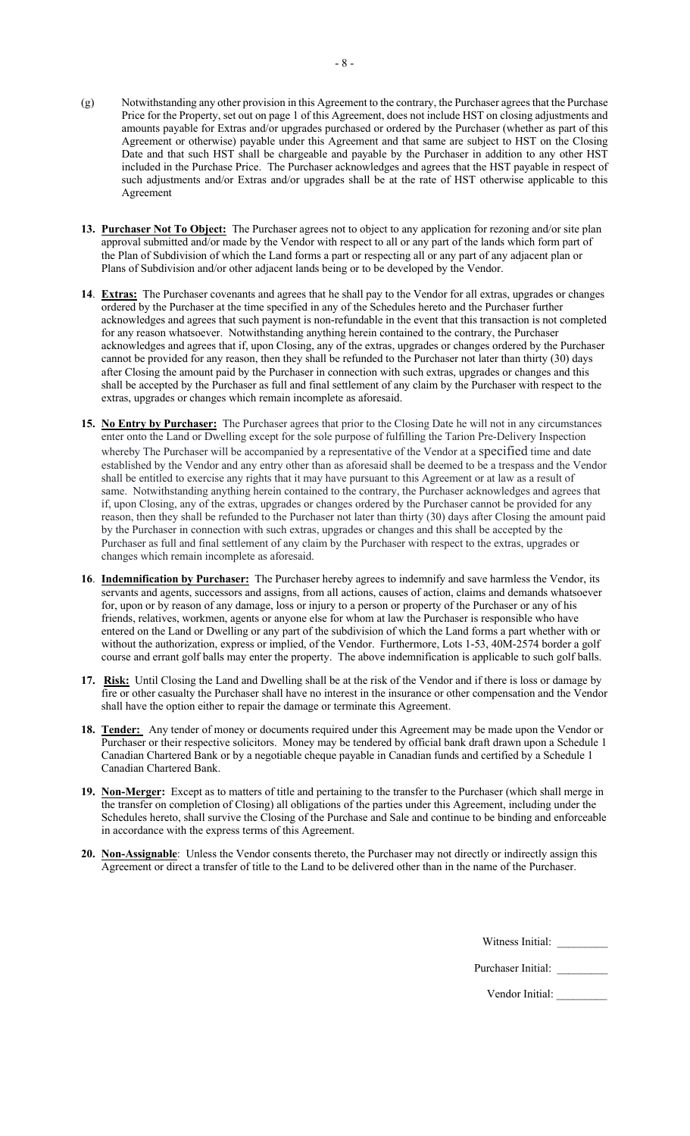- (g) Notwithstanding any other provision in this Agreement to the contrary, the Purchaser agrees that the Purchase Price for the Property, set out on page 1 of this Agreement, does not include HST on closing adjustments and amounts payable for Extras and/or upgrades purchased or ordered by the Purchaser (whether as part of this Agreement or otherwise) payable under this Agreement and that same are subject to HST on the Closing Date and that such HST shall be chargeable and payable by the Purchaser in addition to any other HST included in the Purchase Price. The Purchaser acknowledges and agrees that the HST payable in respect of such adjustments and/or Extras and/or upgrades shall be at the rate of HST otherwise applicable to this Agreement
- **13. Purchaser Not To Object:** The Purchaser agrees not to object to any application for rezoning and/or site plan approval submitted and/or made by the Vendor with respect to all or any part of the lands which form part of the Plan of Subdivision of which the Land forms a part or respecting all or any part of any adjacent plan or Plans of Subdivision and/or other adjacent lands being or to be developed by the Vendor.
- **14**. **Extras:** The Purchaser covenants and agrees that he shall pay to the Vendor for all extras, upgrades or changes ordered by the Purchaser at the time specified in any of the Schedules hereto and the Purchaser further acknowledges and agrees that such payment is non-refundable in the event that this transaction is not completed for any reason whatsoever. Notwithstanding anything herein contained to the contrary, the Purchaser acknowledges and agrees that if, upon Closing, any of the extras, upgrades or changes ordered by the Purchaser cannot be provided for any reason, then they shall be refunded to the Purchaser not later than thirty (30) days after Closing the amount paid by the Purchaser in connection with such extras, upgrades or changes and this shall be accepted by the Purchaser as full and final settlement of any claim by the Purchaser with respect to the extras, upgrades or changes which remain incomplete as aforesaid.
- **15. No Entry by Purchaser:** The Purchaser agrees that prior to the Closing Date he will not in any circumstances enter onto the Land or Dwelling except for the sole purpose of fulfilling the Tarion Pre-Delivery Inspection whereby The Purchaser will be accompanied by a representative of the Vendor at a specified time and date established by the Vendor and any entry other than as aforesaid shall be deemed to be a trespass and the Vendor shall be entitled to exercise any rights that it may have pursuant to this Agreement or at law as a result of same. Notwithstanding anything herein contained to the contrary, the Purchaser acknowledges and agrees that if, upon Closing, any of the extras, upgrades or changes ordered by the Purchaser cannot be provided for any reason, then they shall be refunded to the Purchaser not later than thirty (30) days after Closing the amount paid by the Purchaser in connection with such extras, upgrades or changes and this shall be accepted by the Purchaser as full and final settlement of any claim by the Purchaser with respect to the extras, upgrades or changes which remain incomplete as aforesaid.
- **16**. **Indemnification by Purchaser:** The Purchaser hereby agrees to indemnify and save harmless the Vendor, its servants and agents, successors and assigns, from all actions, causes of action, claims and demands whatsoever for, upon or by reason of any damage, loss or injury to a person or property of the Purchaser or any of his friends, relatives, workmen, agents or anyone else for whom at law the Purchaser is responsible who have entered on the Land or Dwelling or any part of the subdivision of which the Land forms a part whether with or without the authorization, express or implied, of the Vendor. Furthermore, Lots 1-53, 40M-2574 border a golf course and errant golf balls may enter the property. The above indemnification is applicable to such golf balls.
- **17. Risk:** Until Closing the Land and Dwelling shall be at the risk of the Vendor and if there is loss or damage by fire or other casualty the Purchaser shall have no interest in the insurance or other compensation and the Vendor shall have the option either to repair the damage or terminate this Agreement.
- **18. Tender:** Any tender of money or documents required under this Agreement may be made upon the Vendor or Purchaser or their respective solicitors. Money may be tendered by official bank draft drawn upon a Schedule 1 Canadian Chartered Bank or by a negotiable cheque payable in Canadian funds and certified by a Schedule 1 Canadian Chartered Bank.
- **19. Non-Merger:** Except as to matters of title and pertaining to the transfer to the Purchaser (which shall merge in the transfer on completion of Closing) all obligations of the parties under this Agreement, including under the Schedules hereto, shall survive the Closing of the Purchase and Sale and continue to be binding and enforceable in accordance with the express terms of this Agreement.
- **20. Non-Assignable**: Unless the Vendor consents thereto, the Purchaser may not directly or indirectly assign this Agreement or direct a transfer of title to the Land to be delivered other than in the name of the Purchaser.

Witness Initial: \_\_\_\_\_\_\_\_\_

Purchaser Initial: \_\_\_\_\_\_\_\_\_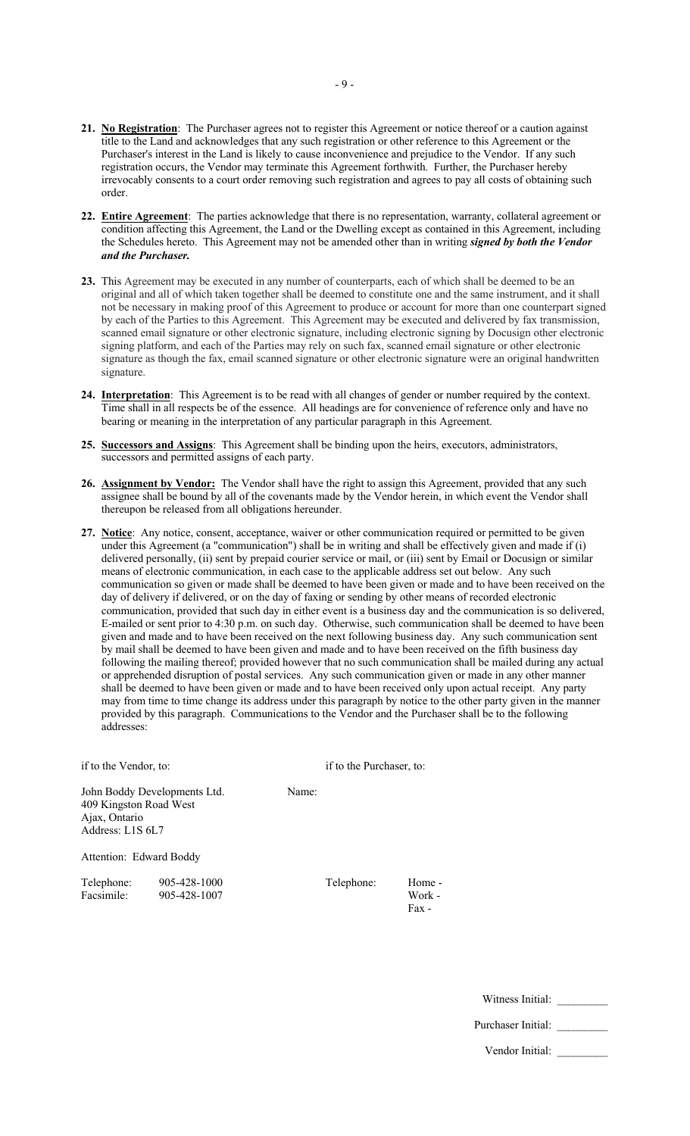- **21. No Registration**: The Purchaser agrees not to register this Agreement or notice thereof or a caution against title to the Land and acknowledges that any such registration or other reference to this Agreement or the Purchaser's interest in the Land is likely to cause inconvenience and prejudice to the Vendor. If any such registration occurs, the Vendor may terminate this Agreement forthwith. Further, the Purchaser hereby irrevocably consents to a court order removing such registration and agrees to pay all costs of obtaining such order.
- **22. Entire Agreement**: The parties acknowledge that there is no representation, warranty, collateral agreement or condition affecting this Agreement, the Land or the Dwelling except as contained in this Agreement, including the Schedules hereto. This Agreement may not be amended other than in writing *signed by both the Vendor and the Purchaser.*
- **23.** This Agreement may be executed in any number of counterparts, each of which shall be deemed to be an original and all of which taken together shall be deemed to constitute one and the same instrument, and it shall not be necessary in making proof of this Agreement to produce or account for more than one counterpart signed by each of the Parties to this Agreement. This Agreement may be executed and delivered by fax transmission, scanned email signature or other electronic signature, including electronic signing by Docusign other electronic signing platform, and each of the Parties may rely on such fax, scanned email signature or other electronic signature as though the fax, email scanned signature or other electronic signature were an original handwritten signature.
- **24. Interpretation**: This Agreement is to be read with all changes of gender or number required by the context. Time shall in all respects be of the essence. All headings are for convenience of reference only and have no bearing or meaning in the interpretation of any particular paragraph in this Agreement.
- **25. Successors and Assigns**: This Agreement shall be binding upon the heirs, executors, administrators, successors and permitted assigns of each party.
- **26. Assignment by Vendor:** The Vendor shall have the right to assign this Agreement, provided that any such assignee shall be bound by all of the covenants made by the Vendor herein, in which event the Vendor shall thereupon be released from all obligations hereunder.
- **27. Notice**: Any notice, consent, acceptance, waiver or other communication required or permitted to be given under this Agreement (a "communication") shall be in writing and shall be effectively given and made if (i) delivered personally, (ii) sent by prepaid courier service or mail, or (iii) sent by Email or Docusign or similar means of electronic communication, in each case to the applicable address set out below. Any such communication so given or made shall be deemed to have been given or made and to have been received on the day of delivery if delivered, or on the day of faxing or sending by other means of recorded electronic communication, provided that such day in either event is a business day and the communication is so delivered, E-mailed or sent prior to 4:30 p.m. on such day. Otherwise, such communication shall be deemed to have been given and made and to have been received on the next following business day. Any such communication sent by mail shall be deemed to have been given and made and to have been received on the fifth business day following the mailing thereof; provided however that no such communication shall be mailed during any actual or apprehended disruption of postal services. Any such communication given or made in any other manner shall be deemed to have been given or made and to have been received only upon actual receipt. Any party may from time to time change its address under this paragraph by notice to the other party given in the manner provided by this paragraph. Communications to the Vendor and the Purchaser shall be to the following addresses:

| if to the Vendor, to:                                       |                              |       | if to the Purchaser, to: |                           |  |  |
|-------------------------------------------------------------|------------------------------|-------|--------------------------|---------------------------|--|--|
| 409 Kingston Road West<br>Ajax, Ontario<br>Address: L1S 6L7 | John Boddy Developments Ltd. | Name: |                          |                           |  |  |
| Attention: Edward Boddy                                     |                              |       |                          |                           |  |  |
| Telephone:<br>Facsimile:                                    | 905-428-1000<br>905-428-1007 |       | Telephone:               | Home -<br>Work -<br>Fax - |  |  |

Purchaser Initial: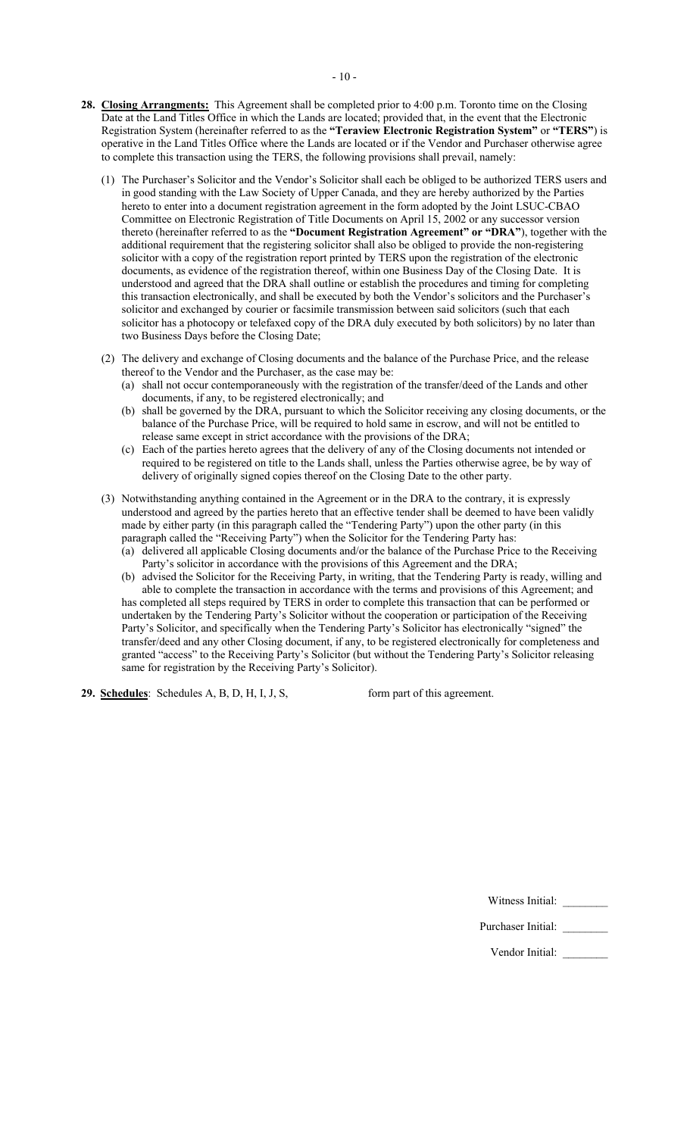- **28. Closing Arrangments:** This Agreement shall be completed prior to 4:00 p.m. Toronto time on the Closing Date at the Land Titles Office in which the Lands are located; provided that, in the event that the Electronic Registration System (hereinafter referred to as the **"Teraview Electronic Registration System"** or **"TERS"**) is operative in the Land Titles Office where the Lands are located or if the Vendor and Purchaser otherwise agree to complete this transaction using the TERS, the following provisions shall prevail, namely:
	- (1) The Purchaser's Solicitor and the Vendor's Solicitor shall each be obliged to be authorized TERS users and in good standing with the Law Society of Upper Canada, and they are hereby authorized by the Parties hereto to enter into a document registration agreement in the form adopted by the Joint LSUC-CBAO Committee on Electronic Registration of Title Documents on April 15, 2002 or any successor version thereto (hereinafter referred to as the **"Document Registration Agreement" or "DRA"**), together with the additional requirement that the registering solicitor shall also be obliged to provide the non-registering solicitor with a copy of the registration report printed by TERS upon the registration of the electronic documents, as evidence of the registration thereof, within one Business Day of the Closing Date. It is understood and agreed that the DRA shall outline or establish the procedures and timing for completing this transaction electronically, and shall be executed by both the Vendor's solicitors and the Purchaser's solicitor and exchanged by courier or facsimile transmission between said solicitors (such that each solicitor has a photocopy or telefaxed copy of the DRA duly executed by both solicitors) by no later than two Business Days before the Closing Date;
	- (2) The delivery and exchange of Closing documents and the balance of the Purchase Price, and the release thereof to the Vendor and the Purchaser, as the case may be:
		- (a) shall not occur contemporaneously with the registration of the transfer/deed of the Lands and other documents, if any, to be registered electronically; and
		- (b) shall be governed by the DRA, pursuant to which the Solicitor receiving any closing documents, or the balance of the Purchase Price, will be required to hold same in escrow, and will not be entitled to release same except in strict accordance with the provisions of the DRA;
		- (c) Each of the parties hereto agrees that the delivery of any of the Closing documents not intended or required to be registered on title to the Lands shall, unless the Parties otherwise agree, be by way of delivery of originally signed copies thereof on the Closing Date to the other party.
	- (3) Notwithstanding anything contained in the Agreement or in the DRA to the contrary, it is expressly understood and agreed by the parties hereto that an effective tender shall be deemed to have been validly made by either party (in this paragraph called the "Tendering Party") upon the other party (in this paragraph called the "Receiving Party") when the Solicitor for the Tendering Party has:
		- (a) delivered all applicable Closing documents and/or the balance of the Purchase Price to the Receiving Party's solicitor in accordance with the provisions of this Agreement and the DRA;
		- (b) advised the Solicitor for the Receiving Party, in writing, that the Tendering Party is ready, willing and able to complete the transaction in accordance with the terms and provisions of this Agreement; and has completed all steps required by TERS in order to complete this transaction that can be performed or undertaken by the Tendering Party's Solicitor without the cooperation or participation of the Receiving Party's Solicitor, and specifically when the Tendering Party's Solicitor has electronically "signed" the transfer/deed and any other Closing document, if any, to be registered electronically for completeness and granted "access" to the Receiving Party's Solicitor (but without the Tendering Party's Solicitor releasing same for registration by the Receiving Party's Solicitor).

**29. Schedules**: Schedules A, B, D, H, I, J, S, form part of this agreement.

Witness Initial: \_\_\_\_\_\_\_\_

Purchaser Initial: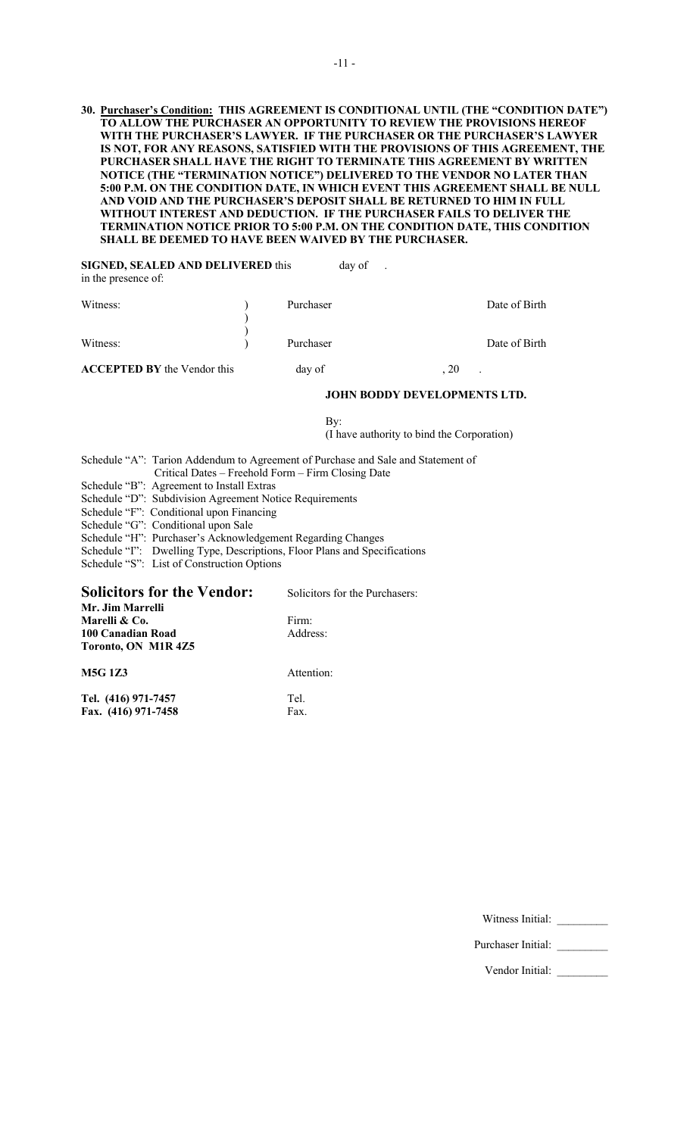### **30. Purchaser's Condition: THIS AGREEMENT IS CONDITIONAL UNTIL (THE "CONDITION DATE") TO ALLOW THE PURCHASER AN OPPORTUNITY TO REVIEW THE PROVISIONS HEREOF WITH THE PURCHASER'S LAWYER. IF THE PURCHASER OR THE PURCHASER'S LAWYER IS NOT, FOR ANY REASONS, SATISFIED WITH THE PROVISIONS OF THIS AGREEMENT, THE PURCHASER SHALL HAVE THE RIGHT TO TERMINATE THIS AGREEMENT BY WRITTEN NOTICE (THE "TERMINATION NOTICE") DELIVERED TO THE VENDOR NO LATER THAN 5:00 P.M. ON THE CONDITION DATE, IN WHICH EVENT THIS AGREEMENT SHALL BE NULL AND VOID AND THE PURCHASER'S DEPOSIT SHALL BE RETURNED TO HIM IN FULL WITHOUT INTEREST AND DEDUCTION. IF THE PURCHASER FAILS TO DELIVER THE TERMINATION NOTICE PRIOR TO 5:00 P.M. ON THE CONDITION DATE, THIS CONDITION SHALL BE DEEMED TO HAVE BEEN WAIVED BY THE PURCHASER.**

**SIGNED, SEALED AND DELIVERED** this day of . in the presence of: Witness: Date of Birth ) ) Witness: (a) Purchaser Date of Birth Purchaser Date of Birth **ACCEPTED BY** the Vendor this day of , 20

### **JOHN BODDY DEVELOPMENTS LTD.**

By: (I have authority to bind the Corporation)

Schedule "A": Tarion Addendum to Agreement of Purchase and Sale and Statement of Critical Dates – Freehold Form – Firm Closing Date

- Schedule "B": Agreement to Install Extras
- Schedule "D": Subdivision Agreement Notice Requirements
- Schedule "F": Conditional upon Financing

Schedule "G": Conditional upon Sale

- Schedule "H": Purchaser's Acknowledgement Regarding Changes
- Schedule "I": Dwelling Type, Descriptions, Floor Plans and Specifications

Schedule "S": List of Construction Options

## **Solicitors for the Vendor:** Solicitors for the Purchasers: **Mr. Jim Marrelli Marelli & Co.** Firm: **100 Canadian Road Toronto, ON M1R 4Z5**

**M5G 1Z3** Attention:

**Tel. (416) 971-7457** Tel. **Fax.** (416) 971-7458 Fax.

Witness Initial:

Purchaser Initial: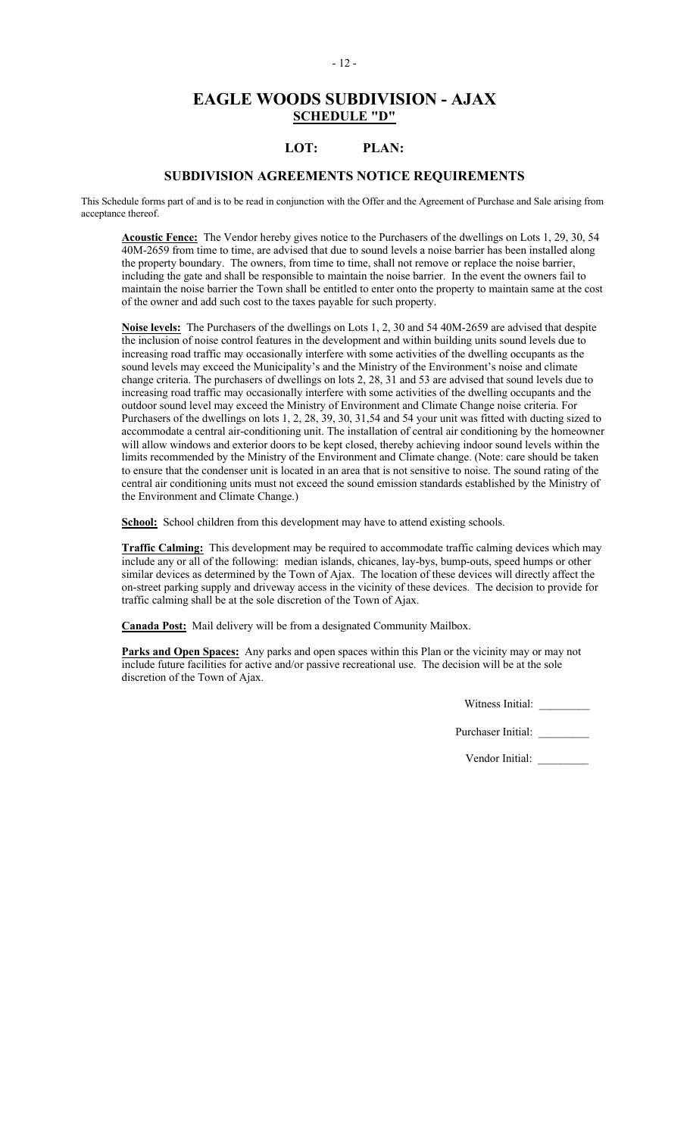# **EAGLE WOODS SUBDIVISION - AJAX SCHEDULE "D"**

# **LOT: PLAN:**

## **SUBDIVISION AGREEMENTS NOTICE REQUIREMENTS**

This Schedule forms part of and is to be read in conjunction with the Offer and the Agreement of Purchase and Sale arising from acceptance thereof.

**Acoustic Fence:** The Vendor hereby gives notice to the Purchasers of the dwellings on Lots 1, 29, 30, 54 40M-2659 from time to time, are advised that due to sound levels a noise barrier has been installed along the property boundary. The owners, from time to time, shall not remove or replace the noise barrier, including the gate and shall be responsible to maintain the noise barrier. In the event the owners fail to maintain the noise barrier the Town shall be entitled to enter onto the property to maintain same at the cost of the owner and add such cost to the taxes payable for such property.

**Noise levels:** The Purchasers of the dwellings on Lots 1, 2, 30 and 54 40M-2659 are advised that despite the inclusion of noise control features in the development and within building units sound levels due to increasing road traffic may occasionally interfere with some activities of the dwelling occupants as the sound levels may exceed the Municipality's and the Ministry of the Environment's noise and climate change criteria. The purchasers of dwellings on lots 2, 28, 31 and 53 are advised that sound levels due to increasing road traffic may occasionally interfere with some activities of the dwelling occupants and the outdoor sound level may exceed the Ministry of Environment and Climate Change noise criteria. For Purchasers of the dwellings on lots 1, 2, 28, 39, 30, 31,54 and 54 your unit was fitted with ducting sized to accommodate a central air-conditioning unit. The installation of central air conditioning by the homeowner will allow windows and exterior doors to be kept closed, thereby achieving indoor sound levels within the limits recommended by the Ministry of the Environment and Climate change. (Note: care should be taken to ensure that the condenser unit is located in an area that is not sensitive to noise. The sound rating of the central air conditioning units must not exceed the sound emission standards established by the Ministry of the Environment and Climate Change.)

School: School children from this development may have to attend existing schools.

**Traffic Calming:** This development may be required to accommodate traffic calming devices which may include any or all of the following: median islands, chicanes, lay-bys, bump-outs, speed humps or other similar devices as determined by the Town of Ajax. The location of these devices will directly affect the on-street parking supply and driveway access in the vicinity of these devices. The decision to provide for traffic calming shall be at the sole discretion of the Town of Ajax.

**Canada Post:** Mail delivery will be from a designated Community Mailbox.

**Parks and Open Spaces:** Any parks and open spaces within this Plan or the vicinity may or may not include future facilities for active and/or passive recreational use. The decision will be at the sole discretion of the Town of Ajax.

Witness Initial: \_\_\_\_\_\_\_\_\_

Purchaser Initial: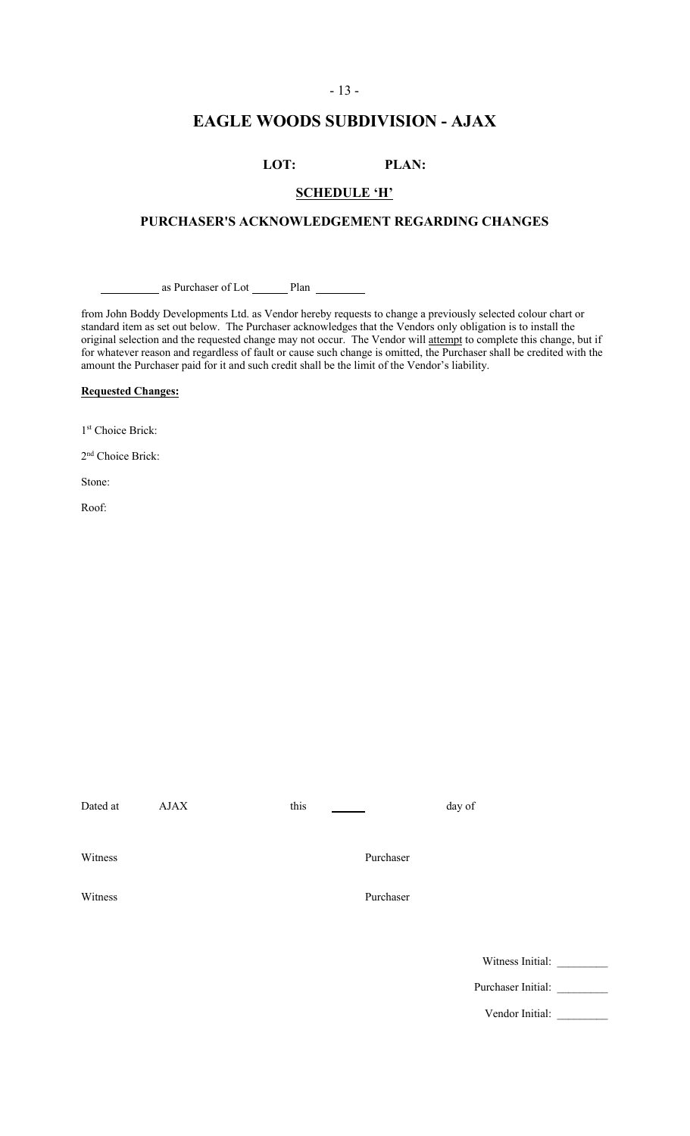## - 13 -

# **EAGLE WOODS SUBDIVISION - AJAX**

# **LOT: PLAN:**

## **SCHEDULE 'H'**

## **PURCHASER'S ACKNOWLEDGEMENT REGARDING CHANGES**

as Purchaser of Lot Plan

from John Boddy Developments Ltd. as Vendor hereby requests to change a previously selected colour chart or standard item as set out below. The Purchaser acknowledges that the Vendors only obligation is to install the original selection and the requested change may not occur. The Vendor will attempt to complete this change, but if for whatever reason and regardless of fault or cause such change is omitted, the Purchaser shall be credited with the amount the Purchaser paid for it and such credit shall be the limit of the Vendor's liability.

## **Requested Changes:**

1st Choice Brick:

2<sup>nd</sup> Choice Brick:

Stone:

Roof:

| Dated at | AJAX | this |           | day of             |  |
|----------|------|------|-----------|--------------------|--|
| Witness  |      |      | Purchaser |                    |  |
| Witness  |      |      | Purchaser |                    |  |
|          |      |      |           | Witness Initial:   |  |
|          |      |      |           | Purchaser Initial: |  |
|          |      |      |           | Vendor Initial:    |  |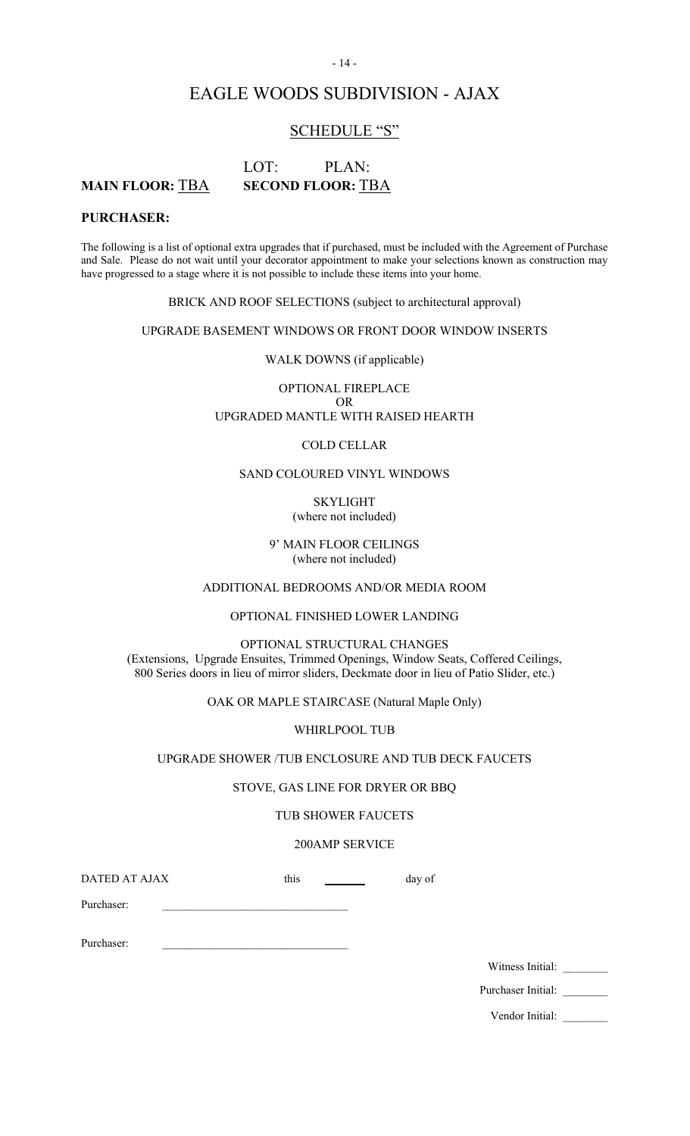# EAGLE WOODS SUBDIVISION - AJAX

# SCHEDULE "S"

# LOT: PLAN: **MAIN FLOOR:** TBA **SECOND FLOOR:** TBA

## **PURCHASER:**

The following is a list of optional extra upgrades that if purchased, must be included with the Agreement of Purchase and Sale. Please do not wait until your decorator appointment to make your selections known as construction may have progressed to a stage where it is not possible to include these items into your home.

BRICK AND ROOF SELECTIONS (subject to architectural approval)

UPGRADE BASEMENT WINDOWS OR FRONT DOOR WINDOW INSERTS

WALK DOWNS (if applicable)

OPTIONAL FIREPLACE OR UPGRADED MANTLE WITH RAISED HEARTH

### COLD CELLAR

### SAND COLOURED VINYL WINDOWS

SKYLIGHT (where not included)

9' MAIN FLOOR CEILINGS (where not included)

ADDITIONAL BEDROOMS AND/OR MEDIA ROOM

OPTIONAL FINISHED LOWER LANDING

OPTIONAL STRUCTURAL CHANGES (Extensions, Upgrade Ensuites, Trimmed Openings, Window Seats, Coffered Ceilings, 800 Series doors in lieu of mirror sliders, Deckmate door in lieu of Patio Slider, etc.)

OAK OR MAPLE STAIRCASE (Natural Maple Only)

WHIRLPOOL TUB

UPGRADE SHOWER /TUB ENCLOSURE AND TUB DECK FAUCETS

### STOVE, GAS LINE FOR DRYER OR BBQ

### TUB SHOWER FAUCETS

#### 200AMP SERVICE

DATED AT AJAX this day of

Purchaser:

Purchaser:

Witness Initial:

Purchaser Initial:

Vendor Initial:

### - 14 -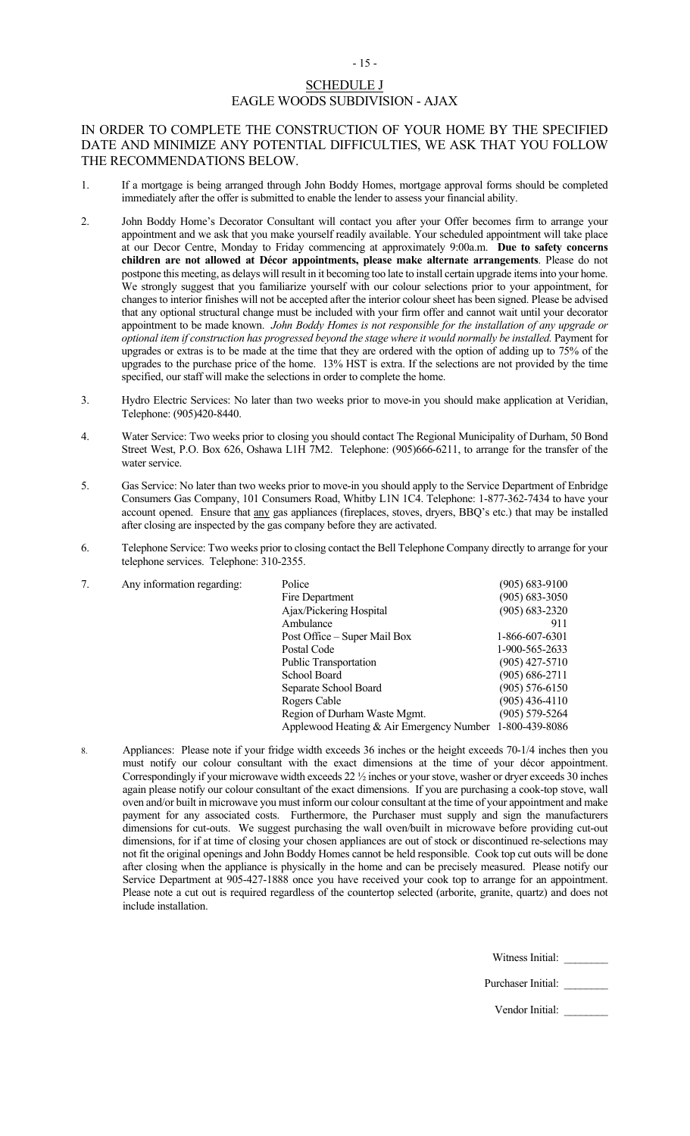# SCHEDULE J EAGLE WOODS SUBDIVISION - AJAX

- 15 -

## IN ORDER TO COMPLETE THE CONSTRUCTION OF YOUR HOME BY THE SPECIFIED DATE AND MINIMIZE ANY POTENTIAL DIFFICULTIES, WE ASK THAT YOU FOLLOW THE RECOMMENDATIONS BELOW.

- 1. If a mortgage is being arranged through John Boddy Homes, mortgage approval forms should be completed immediately after the offer is submitted to enable the lender to assess your financial ability.
- 2. John Boddy Home's Decorator Consultant will contact you after your Offer becomes firm to arrange your appointment and we ask that you make yourself readily available. Your scheduled appointment will take place at our Decor Centre, Monday to Friday commencing at approximately 9:00a.m. **Due to safety concerns children are not allowed at Décor appointments, please make alternate arrangements**. Please do not postpone this meeting, as delays will result in it becoming too late to install certain upgrade items into your home. We strongly suggest that you familiarize yourself with our colour selections prior to your appointment, for changes to interior finishes will not be accepted after the interior colour sheet has been signed. Please be advised that any optional structural change must be included with your firm offer and cannot wait until your decorator appointment to be made known. *John Boddy Homes is not responsible for the installation of any upgrade or optional item if construction has progressed beyond the stage where it would normally be installed.* Payment for upgrades or extras is to be made at the time that they are ordered with the option of adding up to 75% of the upgrades to the purchase price of the home. 13% HST is extra. If the selections are not provided by the time specified, our staff will make the selections in order to complete the home.
- 3. Hydro Electric Services: No later than two weeks prior to move-in you should make application at Veridian, Telephone: (905)420-8440.
- 4. Water Service: Two weeks prior to closing you should contact The Regional Municipality of Durham, 50 Bond Street West, P.O. Box 626, Oshawa L1H 7M2. Telephone: (905)666-6211, to arrange for the transfer of the water service.
- 5. Gas Service: No later than two weeks prior to move-in you should apply to the Service Department of Enbridge Consumers Gas Company, 101 Consumers Road, Whitby L1N 1C4. Telephone: 1-877-362-7434 to have your account opened. Ensure that any gas appliances (fireplaces, stoves, dryers, BBQ's etc.) that may be installed after closing are inspected by the gas company before they are activated.
- 6. Telephone Service: Two weeks prior to closing contact the Bell Telephone Company directly to arrange for your telephone services. Telephone: 310-2355.

| Any information regarding: | Police                                                  | $(905) 683 - 9100$ |
|----------------------------|---------------------------------------------------------|--------------------|
|                            | Fire Department                                         | $(905) 683 - 3050$ |
|                            | Ajax/Pickering Hospital                                 | $(905) 683 - 2320$ |
|                            | Ambulance                                               | 911                |
|                            | Post Office – Super Mail Box                            | 1-866-607-6301     |
|                            | Postal Code                                             | 1-900-565-2633     |
|                            | <b>Public Transportation</b>                            | $(905)$ 427-5710   |
|                            | School Board                                            | $(905) 686 - 2711$ |
|                            | Separate School Board                                   | $(905)$ 576-6150   |
|                            | Rogers Cable                                            | $(905)$ 436-4110   |
|                            | Region of Durham Waste Mgmt.                            | (905) 579-5264     |
|                            | Applewood Heating & Air Emergency Number 1-800-439-8086 |                    |

8. Appliances: Please note if your fridge width exceeds 36 inches or the height exceeds 70-1/4 inches then you must notify our colour consultant with the exact dimensions at the time of your décor appointment. Correspondingly if your microwave width exceeds 22 ½ inches or your stove, washer or dryer exceeds 30 inches again please notify our colour consultant of the exact dimensions. If you are purchasing a cook-top stove, wall oven and/or built in microwave you must inform our colour consultant at the time of your appointment and make payment for any associated costs. Furthermore, the Purchaser must supply and sign the manufacturers dimensions for cut-outs. We suggest purchasing the wall oven/built in microwave before providing cut-out dimensions, for if at time of closing your chosen appliances are out of stock or discontinued re-selections may not fit the original openings and John Boddy Homes cannot be held responsible. Cook top cut outs will be done after closing when the appliance is physically in the home and can be precisely measured. Please notify our Service Department at 905-427-1888 once you have received your cook top to arrange for an appointment. Please note a cut out is required regardless of the countertop selected (arborite, granite, quartz) and does not include installation.

Witness Initial:

Purchaser Initial: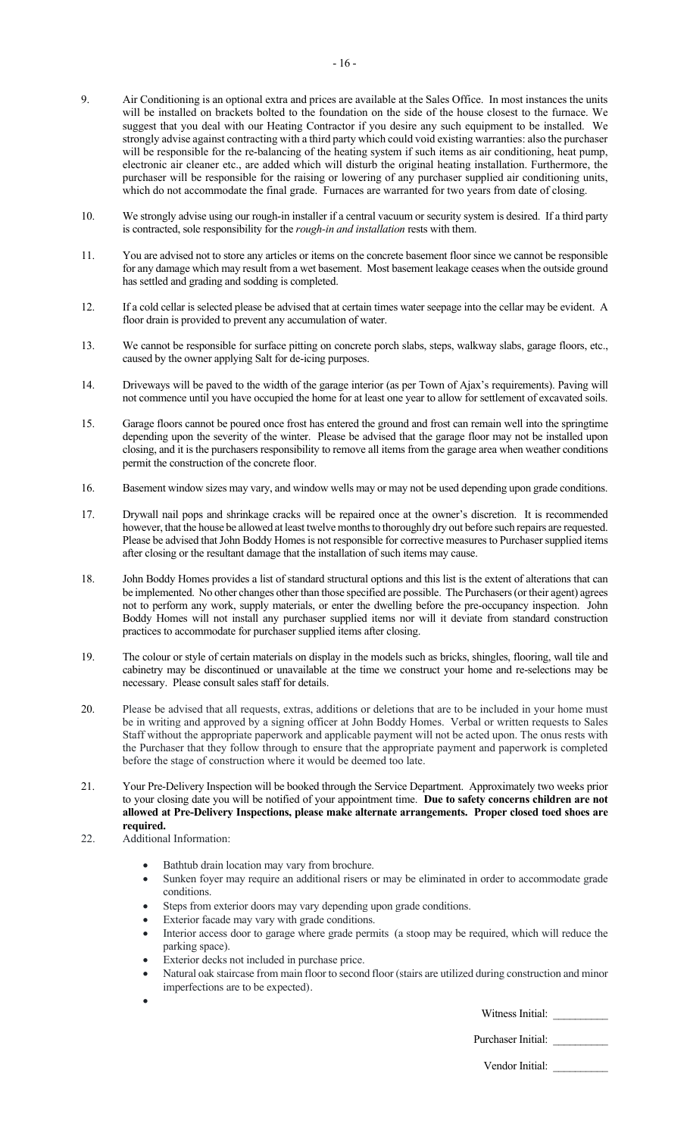- 9. Air Conditioning is an optional extra and prices are available at the Sales Office. In most instances the units will be installed on brackets bolted to the foundation on the side of the house closest to the furnace. We suggest that you deal with our Heating Contractor if you desire any such equipment to be installed. We strongly advise against contracting with a third party which could void existing warranties: also the purchaser will be responsible for the re-balancing of the heating system if such items as air conditioning, heat pump, electronic air cleaner etc., are added which will disturb the original heating installation. Furthermore, the purchaser will be responsible for the raising or lowering of any purchaser supplied air conditioning units, which do not accommodate the final grade. Furnaces are warranted for two years from date of closing.
- 10. We strongly advise using our rough-in installer if a central vacuum or security system is desired. If a third party is contracted, sole responsibility for the *rough-in and installation* rests with them.
- 11. You are advised not to store any articles or items on the concrete basement floor since we cannot be responsible for any damage which may result from a wet basement. Most basement leakage ceases when the outside ground has settled and grading and sodding is completed.
- 12. If a cold cellar is selected please be advised that at certain times water seepage into the cellar may be evident. A floor drain is provided to prevent any accumulation of water.
- 13. We cannot be responsible for surface pitting on concrete porch slabs, steps, walkway slabs, garage floors, etc., caused by the owner applying Salt for de-icing purposes.
- 14. Driveways will be paved to the width of the garage interior (as per Town of Ajax's requirements). Paving will not commence until you have occupied the home for at least one year to allow for settlement of excavated soils.
- 15. Garage floors cannot be poured once frost has entered the ground and frost can remain well into the springtime depending upon the severity of the winter. Please be advised that the garage floor may not be installed upon closing, and it is the purchasers responsibility to remove all items from the garage area when weather conditions permit the construction of the concrete floor.
- 16. Basement window sizes may vary, and window wells may or may not be used depending upon grade conditions.
- 17. Drywall nail pops and shrinkage cracks will be repaired once at the owner's discretion. It is recommended however, that the house be allowed at least twelve months to thoroughly dry out before such repairs are requested. Please be advised that John Boddy Homes is not responsible for corrective measures to Purchaser supplied items after closing or the resultant damage that the installation of such items may cause.
- 18. John Boddy Homes provides a list of standard structural options and this list is the extent of alterations that can be implemented. No other changes other than those specified are possible. The Purchasers (or their agent) agrees not to perform any work, supply materials, or enter the dwelling before the pre-occupancy inspection. John Boddy Homes will not install any purchaser supplied items nor will it deviate from standard construction practices to accommodate for purchaser supplied items after closing.
- 19. The colour or style of certain materials on display in the models such as bricks, shingles, flooring, wall tile and cabinetry may be discontinued or unavailable at the time we construct your home and re-selections may be necessary. Please consult sales staff for details.
- 20. Please be advised that all requests, extras, additions or deletions that are to be included in your home must be in writing and approved by a signing officer at John Boddy Homes. Verbal or written requests to Sales Staff without the appropriate paperwork and applicable payment will not be acted upon. The onus rests with the Purchaser that they follow through to ensure that the appropriate payment and paperwork is completed before the stage of construction where it would be deemed too late.
- 21. Your Pre-Delivery Inspection will be booked through the Service Department. Approximately two weeks prior to your closing date you will be notified of your appointment time. **Due to safety concerns children are not allowed at Pre-Delivery Inspections, please make alternate arrangements. Proper closed toed shoes are required.**
- 22. Additional Information:

•

- Bathtub drain location may vary from brochure.
- Sunken foyer may require an additional risers or may be eliminated in order to accommodate grade conditions.
- Steps from exterior doors may vary depending upon grade conditions.
- Exterior facade may vary with grade conditions.
- Interior access door to garage where grade permits (a stoop may be required, which will reduce the parking space).
- Exterior decks not included in purchase price.
- Natural oak staircase from main floor to second floor (stairs are utilized during construction and minor imperfections are to be expected).

Witness Initial: \_\_\_\_\_\_\_\_\_\_

Purchaser Initial: